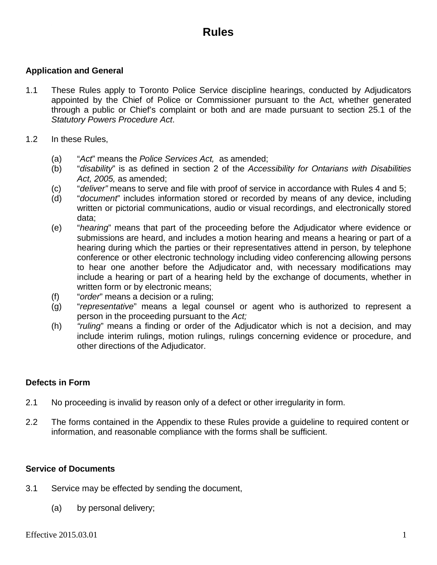# **Rules**

## **Application and General**

- 1.1 These Rules apply to Toronto Police Service discipline hearings, conducted by Adjudicators appointed by the Chief of Police or Commissioner pursuant to the Act, whether generated through a public or Chief's complaint or both and are made pursuant to section 25.1 of the *Statutory Powers Procedure Act*.
- 1.2 In these Rules,
	- (a) "*Act*" means the *Police Services Act,* as amended;
	- (b) "*disability*" is as defined in section 2 of the *Accessibility for Ontarians with Disabilities Act, 2005,* as amended;
	- (c) "*deliver"* means to serve and file with proof of service in accordance with Rules 4 and 5;
	- (d) "*document*" includes information stored or recorded by means of any device, including written or pictorial communications, audio or visual recordings, and electronically stored data;
	- (e) "*hearing*" means that part of the proceeding before the Adjudicator where evidence or submissions are heard, and includes a motion hearing and means a hearing or part of a hearing during which the parties or their representatives attend in person, by telephone conference or other electronic technology including video conferencing allowing persons to hear one another before the Adjudicator and, with necessary modifications may include a hearing or part of a hearing held by the exchange of documents, whether in written form or by electronic means;
	- (f) "*order*" means a decision or a ruling;
	- (g) "*representative*" means a legal counsel or agent who is authorized to represent a person in the proceeding pursuant to the *Act;*
	- (h) *"ruling*" means a finding or order of the Adjudicator which is not a decision, and may include interim rulings, motion rulings, rulings concerning evidence or procedure, and other directions of the Adjudicator.

#### **Defects in Form**

- 2.1 No proceeding is invalid by reason only of a defect or other irregularity in form.
- 2.2 The forms contained in the Appendix to these Rules provide a guideline to required content or information, and reasonable compliance with the forms shall be sufficient.

#### **Service of Documents**

- 3.1 Service may be effected by sending the document,
	- (a) by personal delivery;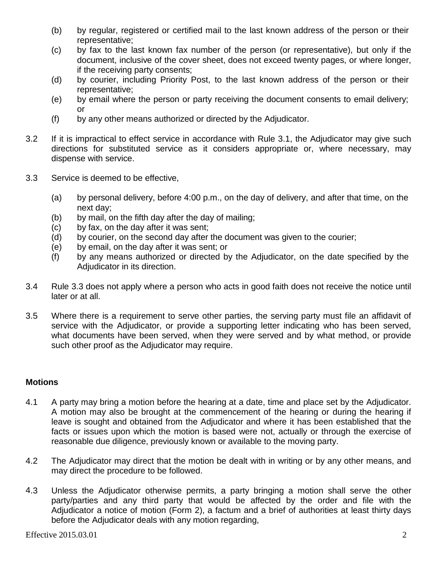- (b) by regular, registered or certified mail to the last known address of the person or their representative;
- (c) by fax to the last known fax number of the person (or representative), but only if the document, inclusive of the cover sheet, does not exceed twenty pages, or where longer, if the receiving party consents;
- (d) by courier, including Priority Post, to the last known address of the person or their representative;
- (e) by email where the person or party receiving the document consents to email delivery; or
- (f) by any other means authorized or directed by the Adjudicator.
- 3.2 If it is impractical to effect service in accordance with Rule 3.1, the Adjudicator may give such directions for substituted service as it considers appropriate or, where necessary, may dispense with service.
- 3.3 Service is deemed to be effective,
	- (a) by personal delivery, before 4:00 p.m., on the day of delivery, and after that time, on the next day;
	- (b) by mail, on the fifth day after the day of mailing;
	- (c) by fax, on the day after it was sent;
	- (d) by courier, on the second day after the document was given to the courier;
	- (e) by email, on the day after it was sent; or
	- (f) by any means authorized or directed by the Adjudicator, on the date specified by the Adjudicator in its direction.
- 3.4 Rule 3.3 does not apply where a person who acts in good faith does not receive the notice until later or at all.
- 3.5 Where there is a requirement to serve other parties, the serving party must file an affidavit of service with the Adjudicator, or provide a supporting letter indicating who has been served, what documents have been served, when they were served and by what method, or provide such other proof as the Adjudicator may require.

## **Motions**

- 4.1 A party may bring a motion before the hearing at a date, time and place set by the Adjudicator. A motion may also be brought at the commencement of the hearing or during the hearing if leave is sought and obtained from the Adjudicator and where it has been established that the facts or issues upon which the motion is based were not, actually or through the exercise of reasonable due diligence, previously known or available to the moving party.
- 4.2 The Adjudicator may direct that the motion be dealt with in writing or by any other means, and may direct the procedure to be followed.
- 4.3 Unless the Adjudicator otherwise permits, a party bringing a motion shall serve the other party/parties and any third party that would be affected by the order and file with the Adjudicator a notice of motion (Form 2), a factum and a brief of authorities at least thirty days before the Adjudicator deals with any motion regarding,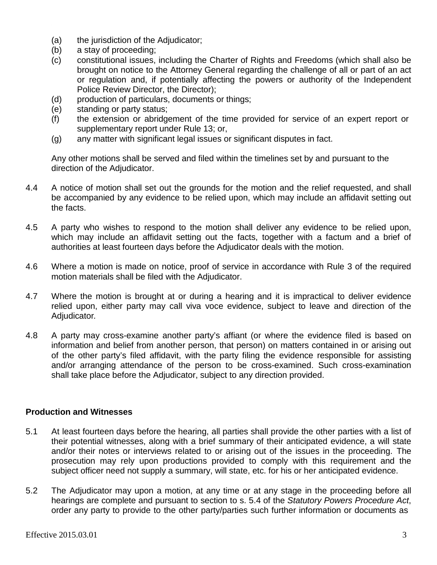- (a) the jurisdiction of the Adjudicator;
- (b) a stay of proceeding;
- (c) constitutional issues, including the Charter of Rights and Freedoms (which shall also be brought on notice to the Attorney General regarding the challenge of all or part of an act or regulation and, if potentially affecting the powers or authority of the Independent Police Review Director, the Director);
- (d) production of particulars, documents or things;
- (e) standing or party status;
- (f) the extension or abridgement of the time provided for service of an expert report or supplementary report under Rule 13; or,
- (g) any matter with significant legal issues or significant disputes in fact.

Any other motions shall be served and filed within the timelines set by and pursuant to the direction of the Adjudicator.

- 4.4 A notice of motion shall set out the grounds for the motion and the relief requested, and shall be accompanied by any evidence to be relied upon, which may include an affidavit setting out the facts.
- 4.5 A party who wishes to respond to the motion shall deliver any evidence to be relied upon, which may include an affidavit setting out the facts, together with a factum and a brief of authorities at least fourteen days before the Adjudicator deals with the motion.
- 4.6 Where a motion is made on notice, proof of service in accordance with Rule 3 of the required motion materials shall be filed with the Adjudicator.
- 4.7 Where the motion is brought at or during a hearing and it is impractical to deliver evidence relied upon, either party may call viva voce evidence, subject to leave and direction of the Adjudicator*.*
- 4.8 A party may cross-examine another party's affiant (or where the evidence filed is based on information and belief from another person, that person) on matters contained in or arising out of the other party's filed affidavit, with the party filing the evidence responsible for assisting and/or arranging attendance of the person to be cross-examined. Such cross-examination shall take place before the Adjudicator, subject to any direction provided.

## **Production and Witnesses**

- 5.1 At least fourteen days before the hearing, all parties shall provide the other parties with a list of their potential witnesses, along with a brief summary of their anticipated evidence, a will state and/or their notes or interviews related to or arising out of the issues in the proceeding. The prosecution may rely upon productions provided to comply with this requirement and the subject officer need not supply a summary, will state, etc. for his or her anticipated evidence.
- 5.2 The Adjudicator may upon a motion, at any time or at any stage in the proceeding before all hearings are complete and pursuant to section to s. 5.4 of the *Statutory Powers Procedure Act*, order any party to provide to the other party/parties such further information or documents as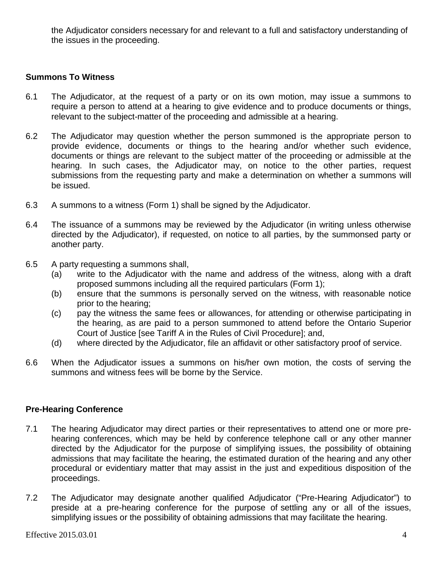the Adjudicator considers necessary for and relevant to a full and satisfactory understanding of the issues in the proceeding.

## **Summons To Witness**

- 6.1 The Adjudicator, at the request of a party or on its own motion, may issue a summons to require a person to attend at a hearing to give evidence and to produce documents or things, relevant to the subject-matter of the proceeding and admissible at a hearing.
- 6.2 The Adjudicator may question whether the person summoned is the appropriate person to provide evidence, documents or things to the hearing and/or whether such evidence, documents or things are relevant to the subject matter of the proceeding or admissible at the hearing. In such cases, the Adjudicator may, on notice to the other parties, request submissions from the requesting party and make a determination on whether a summons will be issued.
- 6.3 A summons to a witness (Form 1) shall be signed by the Adjudicator.
- 6.4 The issuance of a summons may be reviewed by the Adjudicator (in writing unless otherwise directed by the Adjudicator), if requested, on notice to all parties, by the summonsed party or another party.
- 6.5 A party requesting a summons shall,
	- (a) write to the Adjudicator with the name and address of the witness, along with a draft proposed summons including all the required particulars (Form 1);
	- (b) ensure that the summons is personally served on the witness, with reasonable notice prior to the hearing;
	- (c) pay the witness the same fees or allowances, for attending or otherwise participating in the hearing, as are paid to a person summoned to attend before the Ontario Superior Court of Justice [see Tariff A in the Rules of Civil Procedure]; and,
	- (d) where directed by the Adjudicator, file an affidavit or other satisfactory proof of service.
- 6.6 When the Adjudicator issues a summons on his/her own motion, the costs of serving the summons and witness fees will be borne by the Service.

## **Pre-Hearing Conference**

- 7.1 The hearing Adjudicator may direct parties or their representatives to attend one or more prehearing conferences, which may be held by conference telephone call or any other manner directed by the Adjudicator for the purpose of simplifying issues, the possibility of obtaining admissions that may facilitate the hearing, the estimated duration of the hearing and any other procedural or evidentiary matter that may assist in the just and expeditious disposition of the proceedings.
- 7.2 The Adjudicator may designate another qualified Adjudicator ("Pre-Hearing Adjudicator") to preside at a pre-hearing conference for the purpose of settling any or all of the issues, simplifying issues or the possibility of obtaining admissions that may facilitate the hearing.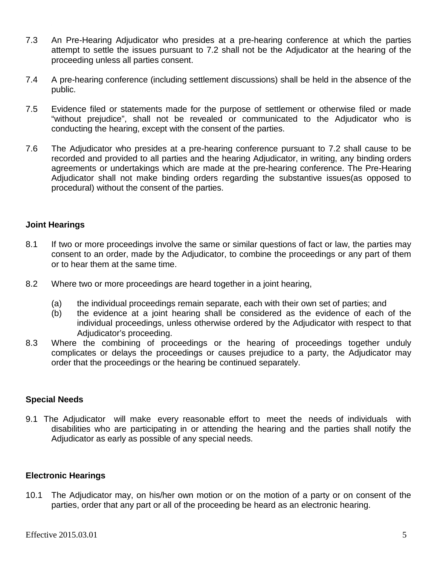- 7.3 An Pre-Hearing Adjudicator who presides at a pre-hearing conference at which the parties attempt to settle the issues pursuant to 7.2 shall not be the Adjudicator at the hearing of the proceeding unless all parties consent.
- 7.4 A pre-hearing conference (including settlement discussions) shall be held in the absence of the public.
- 7.5 Evidence filed or statements made for the purpose of settlement or otherwise filed or made "without prejudice", shall not be revealed or communicated to the Adjudicator who is conducting the hearing, except with the consent of the parties.
- 7.6 The Adjudicator who presides at a pre-hearing conference pursuant to 7.2 shall cause to be recorded and provided to all parties and the hearing Adjudicator, in writing, any binding orders agreements or undertakings which are made at the pre-hearing conference. The Pre-Hearing Adjudicator shall not make binding orders regarding the substantive issues(as opposed to procedural) without the consent of the parties.

## **Joint Hearings**

- 8.1 If two or more proceedings involve the same or similar questions of fact or law, the parties may consent to an order, made by the Adjudicator, to combine the proceedings or any part of them or to hear them at the same time.
- 8.2 Where two or more proceedings are heard together in a joint hearing,
	- (a) the individual proceedings remain separate, each with their own set of parties; and
	- (b) the evidence at a joint hearing shall be considered as the evidence of each of the individual proceedings, unless otherwise ordered by the Adjudicator with respect to that Adjudicator's proceeding.
- 8.3 Where the combining of proceedings or the hearing of proceedings together unduly complicates or delays the proceedings or causes prejudice to a party, the Adjudicator may order that the proceedings or the hearing be continued separately.

#### **Special Needs**

9.1 The Adjudicator will make every reasonable effort to meet the needs of individuals with disabilities who are participating in or attending the hearing and the parties shall notify the Adjudicator as early as possible of any special needs.

#### **Electronic Hearings**

10.1 The Adjudicator may, on his/her own motion or on the motion of a party or on consent of the parties, order that any part or all of the proceeding be heard as an electronic hearing.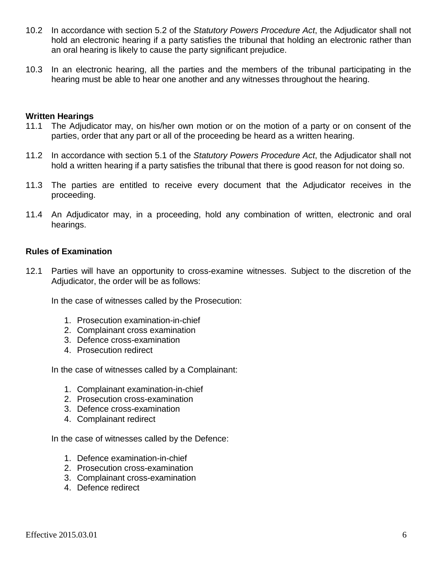- 10.2 In accordance with section 5.2 of the *Statutory Powers Procedure Act*, the Adjudicator shall not hold an electronic hearing if a party satisfies the tribunal that holding an electronic rather than an oral hearing is likely to cause the party significant prejudice.
- 10.3 In an electronic hearing, all the parties and the members of the tribunal participating in the hearing must be able to hear one another and any witnesses throughout the hearing.

#### **Written Hearings**

- 11.1 The Adjudicator may, on his/her own motion or on the motion of a party or on consent of the parties, order that any part or all of the proceeding be heard as a written hearing.
- 11.2 In accordance with section 5.1 of the *Statutory Powers Procedure Act*, the Adjudicator shall not hold a written hearing if a party satisfies the tribunal that there is good reason for not doing so.
- 11.3 The parties are entitled to receive every document that the Adjudicator receives in the proceeding.
- 11.4 An Adjudicator may, in a proceeding, hold any combination of written, electronic and oral hearings.

#### **Rules of Examination**

12.1 Parties will have an opportunity to cross-examine witnesses. Subject to the discretion of the Adjudicator, the order will be as follows:

In the case of witnesses called by the Prosecution:

- 1. Prosecution examination-in-chief
- 2. Complainant cross examination
- 3. Defence cross-examination
- 4. Prosecution redirect

In the case of witnesses called by a Complainant:

- 1. Complainant examination-in-chief
- 2. Prosecution cross-examination
- 3. Defence cross-examination
- 4. Complainant redirect

In the case of witnesses called by the Defence:

- 1. Defence examination-in-chief
- 2. Prosecution cross-examination
- 3. Complainant cross-examination
- 4. Defence redirect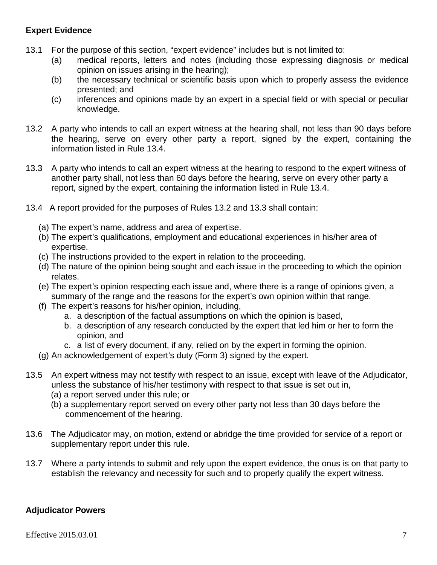## **Expert Evidence**

- 13.1 For the purpose of this section, "expert evidence" includes but is not limited to:
	- (a) medical reports, letters and notes (including those expressing diagnosis or medical opinion on issues arising in the hearing);
	- (b) the necessary technical or scientific basis upon which to properly assess the evidence presented; and
	- (c) inferences and opinions made by an expert in a special field or with special or peculiar knowledge.
- 13.2 A party who intends to call an expert witness at the hearing shall, not less than 90 days before the hearing, serve on every other party a report, signed by the expert, containing the information listed in Rule 13.4.
- 13.3 A party who intends to call an expert witness at the hearing to respond to the expert witness of another party shall, not less than 60 days before the hearing, serve on every other party a report, signed by the expert, containing the information listed in Rule 13.4.
- 13.4 A report provided for the purposes of Rules 13.2 and 13.3 shall contain:
	- (a) The expert's name, address and area of expertise.
	- (b) The expert's qualifications, employment and educational experiences in his/her area of expertise.
	- (c) The instructions provided to the expert in relation to the proceeding.
	- (d) The nature of the opinion being sought and each issue in the proceeding to which the opinion relates.
	- (e) The expert's opinion respecting each issue and, where there is a range of opinions given, a summary of the range and the reasons for the expert's own opinion within that range.
	- (f) The expert's reasons for his/her opinion, including,
		- a. a description of the factual assumptions on which the opinion is based,
		- b. a description of any research conducted by the expert that led him or her to form the opinion, and
		- c. a list of every document, if any, relied on by the expert in forming the opinion.
	- (g) An acknowledgement of expert's duty (Form 3) signed by the expert.
- 13.5 An expert witness may not testify with respect to an issue, except with leave of the Adjudicator, unless the substance of his/her testimony with respect to that issue is set out in,
	- (a) a report served under this rule; or
	- (b) a supplementary report served on every other party not less than 30 days before the commencement of the hearing.
- 13.6 The Adjudicator may, on motion, extend or abridge the time provided for service of a report or supplementary report under this rule.
- 13.7 Where a party intends to submit and rely upon the expert evidence, the onus is on that party to establish the relevancy and necessity for such and to properly qualify the expert witness.

## **Adjudicator Powers**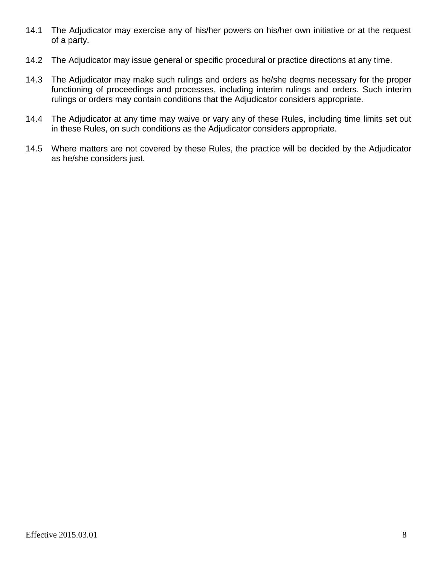- 14.1 The Adjudicator may exercise any of his/her powers on his/her own initiative or at the request of a party.
- 14.2 The Adjudicator may issue general or specific procedural or practice directions at any time.
- 14.3 The Adjudicator may make such rulings and orders as he/she deems necessary for the proper functioning of proceedings and processes, including interim rulings and orders. Such interim rulings or orders may contain conditions that the Adjudicator considers appropriate.
- 14.4 The Adjudicator at any time may waive or vary any of these Rules, including time limits set out in these Rules, on such conditions as the Adjudicator considers appropriate.
- 14.5 Where matters are not covered by these Rules, the practice will be decided by the Adjudicator as he/she considers just.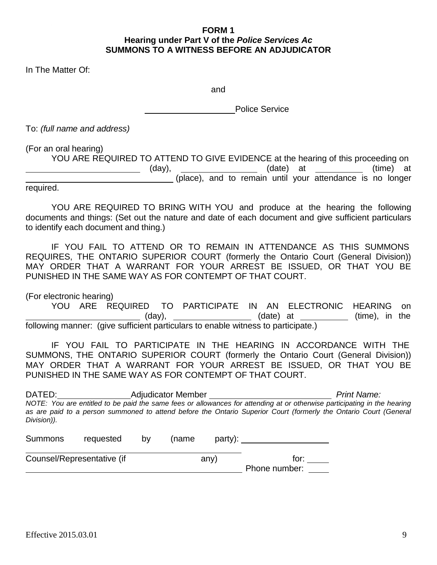#### **FORM 1 Hearing under Part V of the** *Police Services Ac* **SUMMONS TO A WITNESS BEFORE AN ADJUDICATOR**

In The Matter Of:

and

Police Service

To: *(full name and address)*

(For an oral hearing)

YOU ARE REQUIRED TO ATTEND TO GIVE EVIDENCE at the hearing of this proceeding on \_\_\_\_\_\_\_\_\_\_\_\_\_\_\_\_\_\_\_\_\_\_\_\_\_\_\_\_\_\_\_(day), \_\_\_\_\_\_\_\_\_\_\_\_\_\_\_\_\_\_\_(date) at \_\_\_\_\_\_\_\_\_\_\_\_(time) at (place), and to remain until your attendance is no longer required.

YOU ARE REQUIRED TO BRING WITH YOU and produce at the hearing the following documents and things: (Set out the nature and date of each document and give sufficient particulars to identify each document and thing.)

IF YOU FAIL TO ATTEND OR TO REMAIN IN ATTENDANCE AS THIS SUMMONS REQUIRES, THE ONTARIO SUPERIOR COURT (formerly the Ontario Court (General Division)) MAY ORDER THAT A WARRANT FOR YOUR ARREST BE ISSUED, OR THAT YOU BE PUNISHED IN THE SAME WAY AS FOR CONTEMPT OF THAT COURT.

(For electronic hearing) YOU ARE REQUIRED TO PARTICIPATE IN AN ELECTRONIC HEARING on (day), \_\_\_\_\_\_\_\_\_\_\_\_\_\_\_\_\_\_\_\_\_(date) at \_\_\_\_\_\_\_\_\_\_\_(time), in the following manner: (give sufficient particulars to enable witness to participate.)

IF YOU FAIL TO PARTICIPATE IN THE HEARING IN ACCORDANCE WITH THE SUMMONS, THE ONTARIO SUPERIOR COURT (formerly the Ontario Court (General Division)) MAY ORDER THAT A WARRANT FOR YOUR ARREST BE ISSUED, OR THAT YOU BE PUNISHED IN THE SAME WAY AS FOR CONTEMPT OF THAT COURT.

| DATED:                                                  |                   | <b>Adjudicator Member</b> |                                           | <b>Print Name:</b>                                                                                                                                                                                                                            |  |  |  |  |  |
|---------------------------------------------------------|-------------------|---------------------------|-------------------------------------------|-----------------------------------------------------------------------------------------------------------------------------------------------------------------------------------------------------------------------------------------------|--|--|--|--|--|
|                                                         |                   |                           |                                           | NOTE: You are entitled to be paid the same fees or allowances for attending at or otherwise participating in the hearing<br>as are paid to a person summoned to attend before the Ontario Superior Court (formerly the Ontario Court (General |  |  |  |  |  |
| Division)).                                             |                   |                           |                                           |                                                                                                                                                                                                                                               |  |  |  |  |  |
| $\sum$ $\sum$ $\sum$ $\sum$ $\sum$ $\sum$ $\sum$ $\sum$ | المصلح عرزيم عامر | .                         | $\sim$ $\sim$ $\sim$ $\sim$ $\sim$ $\sim$ |                                                                                                                                                                                                                                               |  |  |  |  |  |

| Summons | <i>requested</i>           | <b>DV</b> | mame | party): |               |  |
|---------|----------------------------|-----------|------|---------|---------------|--|
|         | Counsel/Representative (if |           |      | any)    | tor:          |  |
|         |                            |           |      |         | Phone number: |  |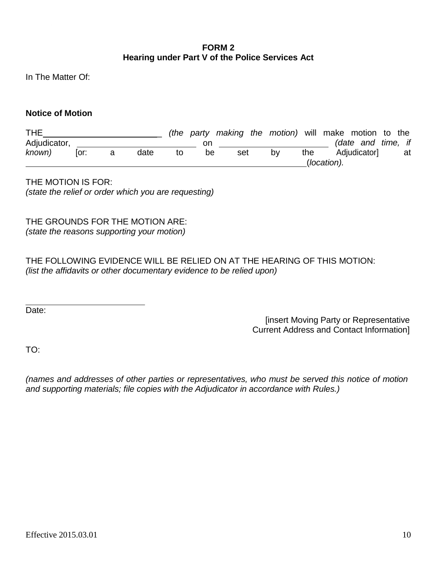#### **FORM 2 Hearing under Part V of the Police Services Act**

In The Matter Of:

#### **Notice of Motion**

| <b>THE</b>   |      |      |    |    |     |             | (the party making the motion) will make motion to the |     |  |                    |  |    |
|--------------|------|------|----|----|-----|-------------|-------------------------------------------------------|-----|--|--------------------|--|----|
| Adjudicator, |      |      |    | on |     |             |                                                       |     |  | (date and time, if |  |    |
| known)       | lor: | date | to | be | set |             | bv                                                    | the |  | Adjudicator]       |  | at |
|              |      |      |    |    |     | (location). |                                                       |     |  |                    |  |    |

THE MOTION IS FOR: *(state the relief or order which you are requesting)*

THE GROUNDS FOR THE MOTION ARE: *(state the reasons supporting your motion)*

THE FOLLOWING EVIDENCE WILL BE RELIED ON AT THE HEARING OF THIS MOTION: *(list the affidavits or other documentary evidence to be relied upon)*

Date:

[insert Moving Party or Representative Current Address and Contact Information]

TO:

*(names and addresses of other parties or representatives, who must be served this notice of motion and supporting materials; file copies with the Adjudicator in accordance with Rules.)*